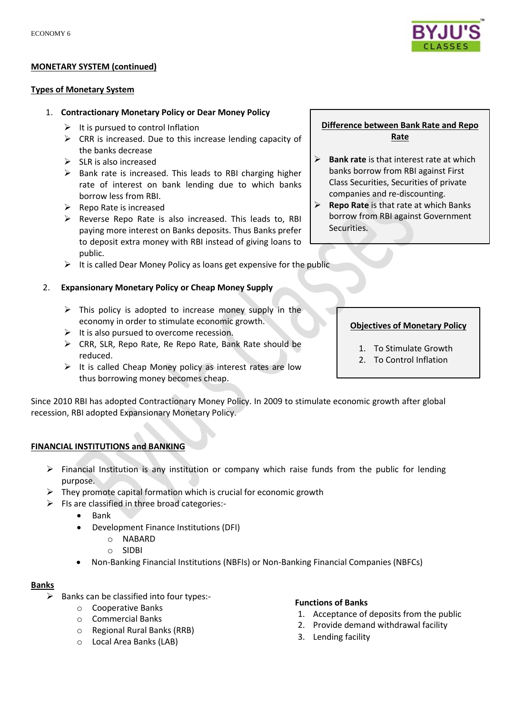### **MONETARY SYSTEM (continued)**

#### **Types of Monetary System**

### 1. **Contractionary Monetary Policy or Dear Money Policy**

- $\triangleright$  It is pursued to control Inflation
- $\triangleright$  CRR is increased. Due to this increase lending capacity of the banks decrease
- $\triangleright$  SLR is also increased
- $\triangleright$  Bank rate is increased. This leads to RBI charging higher rate of interest on bank lending due to which banks borrow less from RBI.
- $\triangleright$  Repo Rate is increased
- $\triangleright$  Reverse Repo Rate is also increased. This leads to, RBI paying more interest on Banks deposits. Thus Banks prefer to deposit extra money with RBI instead of giving loans to public.
- $\triangleright$  It is called Dear Money Policy as loans get expensive for the public

## 2. **Expansionary Monetary Policy or Cheap Money Supply**

- $\triangleright$  This policy is adopted to increase money supply in the economy in order to stimulate economic growth.
- $\triangleright$  It is also pursued to overcome recession.
- ▶ CRR, SLR, Repo Rate, Re Repo Rate, Bank Rate should be reduced.
- $\triangleright$  It is called Cheap Money policy as interest rates are low thus borrowing money becomes cheap.

Since 2010 RBI has adopted Contractionary Money Policy. In 2009 to stimulate economic growth after global recession, RBI adopted Expansionary Monetary Policy.

# **FINANCIAL INSTITUTIONS and BANKING**

- $\triangleright$  Financial Institution is any institution or company which raise funds from the public for lending purpose.
- $\triangleright$  They promote capital formation which is crucial for economic growth
- $\triangleright$  FIs are classified in three broad categories:-
	- $\bullet$  Bank
	- Development Finance Institutions (DFI)
		- o NABARD
		- o SIDBI
	- Non-Banking Financial Institutions (NBFIs) or Non-Banking Financial Companies (NBFCs)

### **Banks**

- $\triangleright$  Banks can be classified into four types:
	- o Cooperative Banks
	- o Commercial Banks
	- o Regional Rural Banks (RRB)
	- o Local Area Banks (LAB)

### **Functions of Banks**

- 1. Acceptance of deposits from the public
- 2. Provide demand withdrawal facility
- 3. Lending facility

# **Difference between Bank Rate and Repo Rate**

- **Bank rate** is that interest rate at which banks borrow from RBI against First Class Securities, Securities of private companies and re-discounting.
- **Repo Rate** is that rate at which Banks borrow from RBI against Government Securities.



- 1. To Stimulate Growth
- 2. To Control Inflation

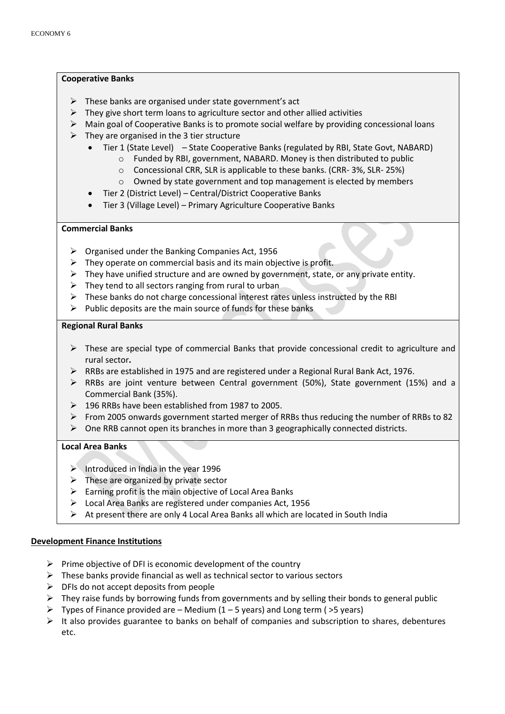#### **Cooperative Banks**

- $\triangleright$  These banks are organised under state government's act
- $\triangleright$  They give short term loans to agriculture sector and other allied activities
- $\triangleright$  Main goal of Cooperative Banks is to promote social welfare by providing concessional loans
- $\triangleright$  They are organised in the 3 tier structure
	- Tier 1 (State Level) State Cooperative Banks (regulated by RBI, State Govt, NABARD)
		- $\circ$  Funded by RBI, government, NABARD. Money is then distributed to public
			- o Concessional CRR, SLR is applicable to these banks. (CRR- 3%, SLR- 25%)
			- o Owned by state government and top management is elected by members
	- Tier 2 (District Level) Central/District Cooperative Banks
	- Tier 3 (Village Level) Primary Agriculture Cooperative Banks

### **Commercial Banks**

- $\triangleright$  Organised under the Banking Companies Act, 1956
- $\triangleright$  They operate on commercial basis and its main objective is profit.
- $\triangleright$  They have unified structure and are owned by government, state, or any private entity.
- $\triangleright$  They tend to all sectors ranging from rural to urban
- $\triangleright$  These banks do not charge concessional interest rates unless instructed by the RBI
- $\triangleright$  Public deposits are the main source of funds for these banks

#### **Regional Rural Banks**

- $\triangleright$  These are special type of commercial Banks that provide concessional credit to agriculture and rural sector**.**
- $\triangleright$  RRBs are established in 1975 and are registered under a Regional Rural Bank Act, 1976.
- RRBs are joint venture between Central government (50%), State government (15%) and a Commercial Bank (35%).
- 196 RRBs have been established from 1987 to 2005.
- From 2005 onwards government started merger of RRBs thus reducing the number of RRBs to 82
- $\triangleright$  One RRB cannot open its branches in more than 3 geographically connected districts.

### **Local Area Banks**

- $\triangleright$  Introduced in India in the year 1996
- $\triangleright$  These are organized by private sector
- $\triangleright$  Earning profit is the main objective of Local Area Banks
- $\triangleright$  Local Area Banks are registered under companies Act, 1956
- $\triangleright$  At present there are only 4 Local Area Banks all which are located in South India

### **Development Finance Institutions**

- $\triangleright$  Prime objective of DFI is economic development of the country
- $\triangleright$  These banks provide financial as well as technical sector to various sectors
- $\triangleright$  DFIs do not accept deposits from people
- $\triangleright$  They raise funds by borrowing funds from governments and by selling their bonds to general public
- $\triangleright$  Types of Finance provided are Medium (1 5 years) and Long term ( $>5$  years)
- $\triangleright$  It also provides guarantee to banks on behalf of companies and subscription to shares, debentures etc.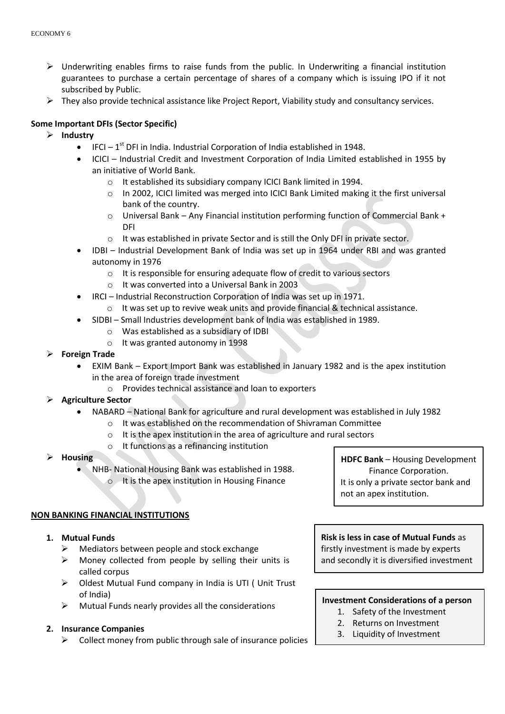- $\triangleright$  Underwriting enables firms to raise funds from the public. In Underwriting a financial institution guarantees to purchase a certain percentage of shares of a company which is issuing IPO if it not subscribed by Public.
- $\triangleright$  They also provide technical assistance like Project Report, Viability study and consultancy services.

# **Some Important DFIs (Sector Specific)**

- **Industry**
	- $\bullet$  IFCI 1<sup>st</sup> DFI in India. Industrial Corporation of India established in 1948.
	- ICICI Industrial Credit and Investment Corporation of India Limited established in 1955 by an initiative of World Bank.
		- o It established its subsidiary company ICICI Bank limited in 1994.
		- o In 2002, ICICI limited was merged into ICICI Bank Limited making it the first universal bank of the country.
		- o Universal Bank Any Financial institution performing function of Commercial Bank + DFI
		- $\circ$  It was established in private Sector and is still the Only DFI in private sector.
	- IDBI Industrial Development Bank of India was set up in 1964 under RBI and was granted autonomy in 1976
		- o It is responsible for ensuring adequate flow of credit to various sectors
		- o It was converted into a Universal Bank in 2003
		- IRCI Industrial Reconstruction Corporation of India was set up in 1971.
			- o It was set up to revive weak units and provide financial & technical assistance.
	- SIDBI Small Industries development bank of India was established in 1989.
		- o Was established as a subsidiary of IDBI
		- o It was granted autonomy in 1998
- **Foreign Trade**
	- EXIM Bank Export Import Bank was established in January 1982 and is the apex institution in the area of foreign trade investment
		- o Provides technical assistance and loan to exporters
- **Agriculture Sector**
	- NABARD National Bank for agriculture and rural development was established in July 1982
		- o It was established on the recommendation of Shivraman Committee
		- o It is the apex institution in the area of agriculture and rural sectors
		- o It functions as a refinancing institution
- **Housing**
	- NHB- National Housing Bank was established in 1988.
		- $\circ$  It is the apex institution in Housing Finance

### **NON BANKING FINANCIAL INSTITUTIONS**

- **1. Mutual Funds**
	- $\triangleright$  Mediators between people and stock exchange
	- $\triangleright$  Money collected from people by selling their units is called corpus
	- Oldest Mutual Fund company in India is UTI ( Unit Trust of India)
	- $\triangleright$  Mutual Funds nearly provides all the considerations

### **2. Insurance Companies**

 $\triangleright$  Collect money from public through sale of insurance policies

**HDFC Bank** – Housing Development Finance Corporation. It is only a private sector bank and not an apex institution.

**Risk is less in case of Mutual Funds** as firstly investment is made by experts and secondly it is diversified investment

# **Investment Considerations of a person**

- 1. Safety of the Investment
- 2. Returns on Investment
- 3. Liquidity of Investment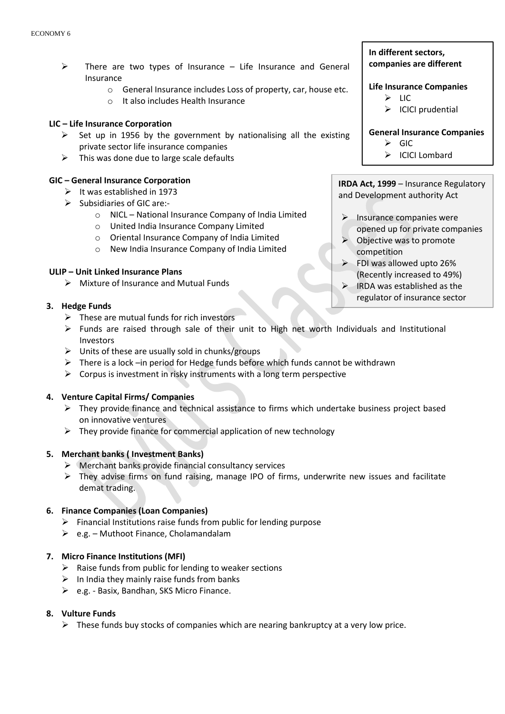- $\triangleright$  There are two types of Insurance Life Insurance and General Insurance
	- o General Insurance includes Loss of property, car, house etc.
	- o It also includes Health Insurance

## **LIC – Life Insurance Corporation**

- $\triangleright$  Set up in 1956 by the government by nationalising all the existing private sector life insurance companies
- $\triangleright$  This was done due to large scale defaults

## **GIC – General Insurance Corporation**

- $\triangleright$  It was established in 1973
- $\triangleright$  Subsidiaries of GIC are:
	- o NICL National Insurance Company of India Limited
	- o United India Insurance Company Limited
	- o Oriental Insurance Company of India Limited
	- o New India Insurance Company of India Limited

## **ULIP – Unit Linked Insurance Plans**

 $\triangleright$  Mixture of Insurance and Mutual Funds

## **3. Hedge Funds**

- $\triangleright$  These are mutual funds for rich investors
- Funds are raised through sale of their unit to High net worth Individuals and Institutional Investors
- $\triangleright$  Units of these are usually sold in chunks/groups
- $\triangleright$  There is a lock –in period for Hedge funds before which funds cannot be withdrawn
- $\triangleright$  Corpus is investment in risky instruments with a long term perspective

### **4. Venture Capital Firms/ Companies**

- $\triangleright$  They provide finance and technical assistance to firms which undertake business project based on innovative ventures
- $\triangleright$  They provide finance for commercial application of new technology

### **5. Merchant banks ( Investment Banks)**

- $\triangleright$  Merchant banks provide financial consultancy services
- $\triangleright$  They advise firms on fund raising, manage IPO of firms, underwrite new issues and facilitate demat trading.

# **6. Finance Companies (Loan Companies)**

- $\triangleright$  Financial Institutions raise funds from public for lending purpose
- $\geq$  e.g. Muthoot Finance, Cholamandalam

### **7. Micro Finance Institutions (MFI)**

- $\triangleright$  Raise funds from public for lending to weaker sections
- $\triangleright$  In India they mainly raise funds from banks
- $\triangleright$  e.g. Basix, Bandhan, SKS Micro Finance.

# **8. Vulture Funds**

 $\triangleright$  These funds buy stocks of companies which are nearing bankruptcy at a very low price.

# **In different sectors, companies are different**

## **Life Insurance Companies**

- $\triangleright$  LIC
- $\triangleright$  ICICI prudential

### **General Insurance Companies**

- $\triangleright$  GIC
- $\triangleright$  ICICI Lombard

**IRDA Act, 1999** – Insurance Regulatory and Development authority Act

- $\blacktriangleright$  Insurance companies were opened up for private companies
- $\triangleright$  Objective was to promote competition
- $\triangleright$  FDI was allowed upto 26% (Recently increased to 49%)
- $\triangleright$  IRDA was established as the regulator of insurance sector